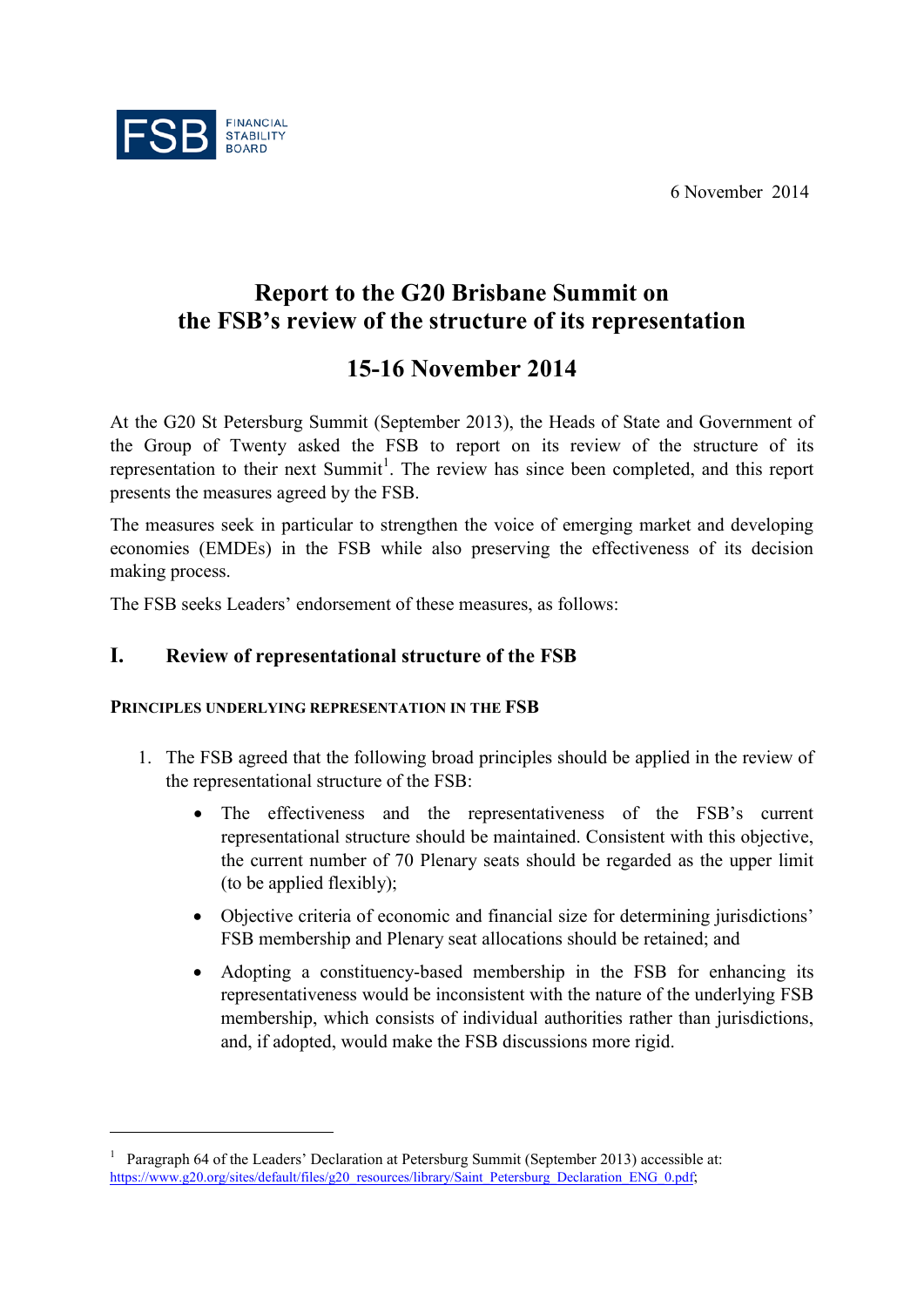6 November 2014



<u>.</u>

# **Report to the G20 Brisbane Summit on the FSB's review of the structure of its representation**

# **15-16 November 2014**

At the G20 St Petersburg Summit (September 2013), the Heads of State and Government of the Group of Twenty asked the FSB to report on its review of the structure of its representation to their next Summit<sup>[1](#page-0-0)</sup>. The review has since been completed, and this report presents the measures agreed by the FSB.

The measures seek in particular to strengthen the voice of emerging market and developing economies (EMDEs) in the FSB while also preserving the effectiveness of its decision making process.

The FSB seeks Leaders' endorsement of these measures, as follows:

# **I. Review of representational structure of the FSB**

## **PRINCIPLES UNDERLYING REPRESENTATION IN THE FSB**

- 1. The FSB agreed that the following broad principles should be applied in the review of the representational structure of the FSB:
	- The effectiveness and the representativeness of the FSB's current representational structure should be maintained. Consistent with this objective, the current number of 70 Plenary seats should be regarded as the upper limit (to be applied flexibly);
	- Objective criteria of economic and financial size for determining jurisdictions' FSB membership and Plenary seat allocations should be retained; and
	- Adopting a constituency-based membership in the FSB for enhancing its representativeness would be inconsistent with the nature of the underlying FSB membership, which consists of individual authorities rather than jurisdictions, and, if adopted, would make the FSB discussions more rigid.

<span id="page-0-0"></span><sup>1</sup> Paragraph 64 of the Leaders' Declaration at Petersburg Summit (September 2013) accessible at: [https://www.g20.org/sites/default/files/g20\\_resources/library/Saint\\_Petersburg\\_Declaration\\_ENG\\_0.pdf;](https://www.g20.org/sites/default/files/g20_resources/library/Saint_Petersburg_Declaration_ENG_0.pdf)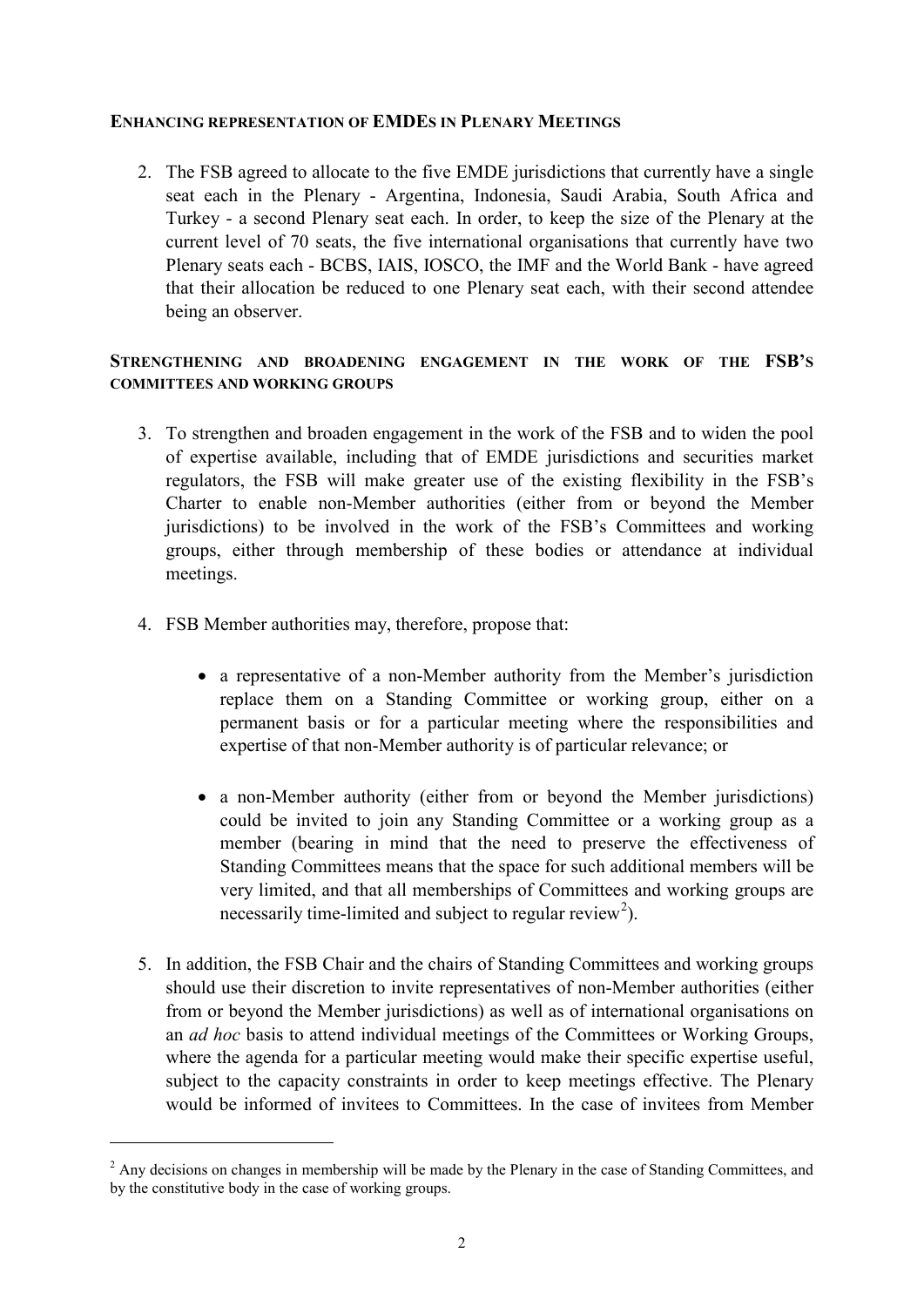### **ENHANCING REPRESENTATION OF EMDES IN PLENARY MEETINGS**

2. The FSB agreed to allocate to the five EMDE jurisdictions that currently have a single seat each in the Plenary - Argentina, Indonesia, Saudi Arabia, South Africa and Turkey - a second Plenary seat each. In order, to keep the size of the Plenary at the current level of 70 seats, the five international organisations that currently have two Plenary seats each - BCBS, IAIS, IOSCO, the IMF and the World Bank - have agreed that their allocation be reduced to one Plenary seat each, with their second attendee being an observer.

### **STRENGTHENING AND BROADENING ENGAGEMENT IN THE WORK OF THE FSB'S COMMITTEES AND WORKING GROUPS**

- 3. To strengthen and broaden engagement in the work of the FSB and to widen the pool of expertise available, including that of EMDE jurisdictions and securities market regulators, the FSB will make greater use of the existing flexibility in the FSB's Charter to enable non-Member authorities (either from or beyond the Member jurisdictions) to be involved in the work of the FSB's Committees and working groups, either through membership of these bodies or attendance at individual meetings.
- 4. FSB Member authorities may, therefore, propose that:

<u>.</u>

- a representative of a non-Member authority from the Member's jurisdiction replace them on a Standing Committee or working group, either on a permanent basis or for a particular meeting where the responsibilities and expertise of that non-Member authority is of particular relevance; or
- a non-Member authority (either from or beyond the Member jurisdictions) could be invited to join any Standing Committee or a working group as a member (bearing in mind that the need to preserve the effectiveness of Standing Committees means that the space for such additional members will be very limited, and that all memberships of Committees and working groups are necessarily time-limited and subject to regular review<sup>[2](#page-1-0)</sup>).
- 5. In addition, the FSB Chair and the chairs of Standing Committees and working groups should use their discretion to invite representatives of non-Member authorities (either from or beyond the Member jurisdictions) as well as of international organisations on an *ad hoc* basis to attend individual meetings of the Committees or Working Groups, where the agenda for a particular meeting would make their specific expertise useful, subject to the capacity constraints in order to keep meetings effective. The Plenary would be informed of invitees to Committees. In the case of invitees from Member

<span id="page-1-0"></span><sup>&</sup>lt;sup>2</sup> Any decisions on changes in membership will be made by the Plenary in the case of Standing Committees, and by the constitutive body in the case of working groups.